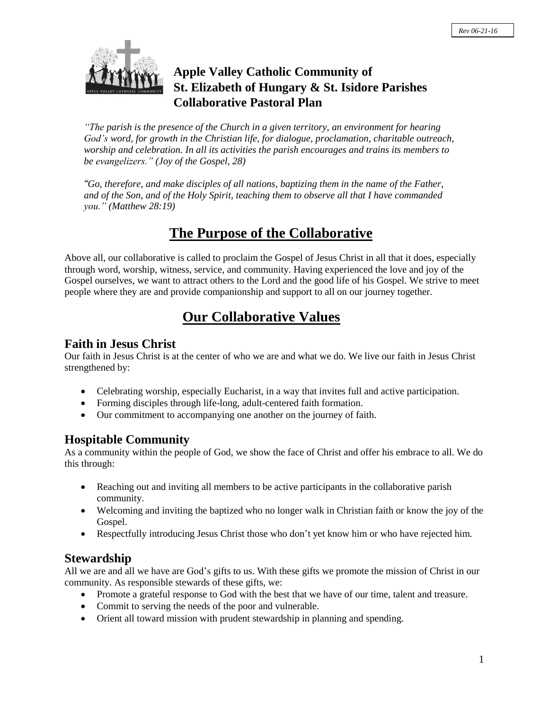

## **Apple Valley Catholic Community of St. Elizabeth of Hungary & St. Isidore Parishes Collaborative Pastoral Plan**

*"The parish is the presence of the Church in a given territory, an environment for hearing God's word, for growth in the Christian life, for dialogue, proclamation, charitable outreach, worship and celebration. In all its activities the parish encourages and trains its members to be evangelizers." (Joy of the Gospel, 28)*

*"Go, therefore, and make disciples of all nations, baptizing them in the name of the Father, and of the Son, and of the Holy Spirit, teaching them to observe all that I have commanded you." (Matthew 28:19)*

# **The Purpose of the Collaborative**

Above all, our collaborative is called to proclaim the Gospel of Jesus Christ in all that it does, especially through word, worship, witness, service, and community. Having experienced the love and joy of the Gospel ourselves, we want to attract others to the Lord and the good life of his Gospel. We strive to meet people where they are and provide companionship and support to all on our journey together.

## **Our Collaborative Values**

### **Faith in Jesus Christ**

Our faith in Jesus Christ is at the center of who we are and what we do. We live our faith in Jesus Christ strengthened by:

- Celebrating worship, especially Eucharist, in a way that invites full and active participation.
- Forming disciples through life-long, adult-centered faith formation.
- Our commitment to accompanying one another on the journey of faith.

## **Hospitable Community**

As a community within the people of God, we show the face of Christ and offer his embrace to all. We do this through:

- Reaching out and inviting all members to be active participants in the collaborative parish community.
- Welcoming and inviting the baptized who no longer walk in Christian faith or know the joy of the Gospel.
- Respectfully introducing Jesus Christ those who don't yet know him or who have rejected him.

## **Stewardship**

All we are and all we have are God's gifts to us. With these gifts we promote the mission of Christ in our community. As responsible stewards of these gifts, we:

- Promote a grateful response to God with the best that we have of our time, talent and treasure.
- Commit to serving the needs of the poor and vulnerable.
- Orient all toward mission with prudent stewardship in planning and spending.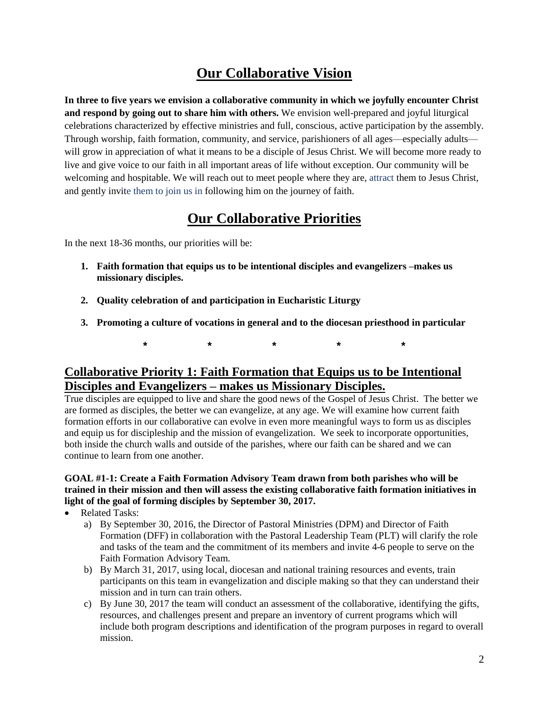# **Our Collaborative Vision**

**In three to five years we envision a collaborative community in which we joyfully encounter Christ and respond by going out to share him with others.** We envision well-prepared and joyful liturgical celebrations characterized by effective ministries and full, conscious, active participation by the assembly. Through worship, faith formation, community, and service, parishioners of all ages—especially adults will grow in appreciation of what it means to be a disciple of Jesus Christ. We will become more ready to live and give voice to our faith in all important areas of life without exception. Our community will be welcoming and hospitable. We will reach out to meet people where they are, attract them to Jesus Christ, and gently invite them to join us in following him on the journey of faith.

# **Our Collaborative Priorities**

In the next 18-36 months, our priorities will be:

- **1. Faith formation that equips us to be intentional disciples and evangelizers –makes us missionary disciples.**
- **2. Quality celebration of and participation in Eucharistic Liturgy**
- **3. Promoting a culture of vocations in general and to the diocesan priesthood in particular**

**\* \* \* \* \***

## **Collaborative Priority 1: Faith Formation that Equips us to be Intentional Disciples and Evangelizers – makes us Missionary Disciples.**

True disciples are equipped to live and share the good news of the Gospel of Jesus Christ. The better we are formed as disciples, the better we can evangelize, at any age. We will examine how current faith formation efforts in our collaborative can evolve in even more meaningful ways to form us as disciples and equip us for discipleship and the mission of evangelization. We seek to incorporate opportunities, both inside the church walls and outside of the parishes, where our faith can be shared and we can continue to learn from one another.

#### **GOAL #1-1: Create a Faith Formation Advisory Team drawn from both parishes who will be trained in their mission and then will assess the existing collaborative faith formation initiatives in light of the goal of forming disciples by September 30, 2017.**

- Related Tasks:
	- a) By September 30, 2016, the Director of Pastoral Ministries (DPM) and Director of Faith Formation (DFF) in collaboration with the Pastoral Leadership Team (PLT) will clarify the role and tasks of the team and the commitment of its members and invite 4-6 people to serve on the Faith Formation Advisory Team.
	- b) By March 31, 2017, using local, diocesan and national training resources and events, train participants on this team in evangelization and disciple making so that they can understand their mission and in turn can train others.
	- c) By June 30, 2017 the team will conduct an assessment of the collaborative, identifying the gifts, resources, and challenges present and prepare an inventory of current programs which will include both program descriptions and identification of the program purposes in regard to overall mission.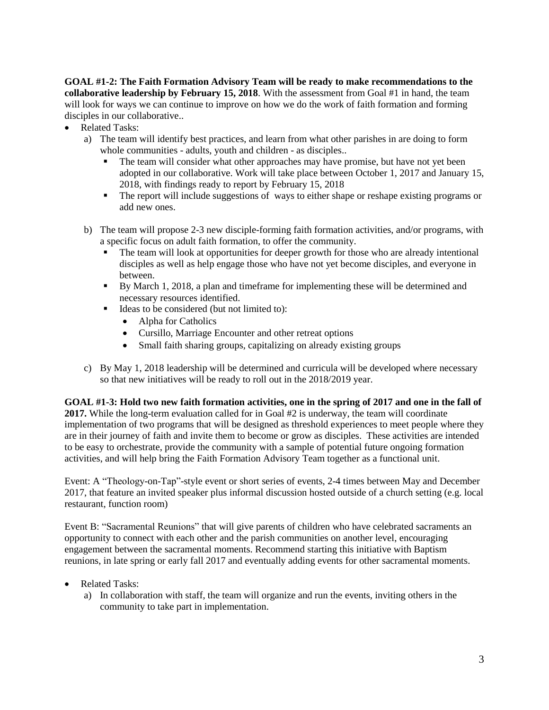**GOAL #1-2: The Faith Formation Advisory Team will be ready to make recommendations to the collaborative leadership by February 15, 2018**. With the assessment from Goal #1 in hand, the team will look for ways we can continue to improve on how we do the work of faith formation and forming disciples in our collaborative..

- Related Tasks:
	- a) The team will identify best practices, and learn from what other parishes in are doing to form whole communities - adults, youth and children - as disciples..
		- The team will consider what other approaches may have promise, but have not yet been adopted in our collaborative. Work will take place between October 1, 2017 and January 15, 2018, with findings ready to report by February 15, 2018
		- The report will include suggestions of ways to either shape or reshape existing programs or add new ones.
	- b) The team will propose 2-3 new disciple-forming faith formation activities, and/or programs, with a specific focus on adult faith formation, to offer the community.
		- The team will look at opportunities for deeper growth for those who are already intentional disciples as well as help engage those who have not yet become disciples, and everyone in between.
		- By March 1, 2018, a plan and timeframe for implementing these will be determined and necessary resources identified.
		- Ideas to be considered (but not limited to):
			- Alpha for Catholics
			- Cursillo, Marriage Encounter and other retreat options
			- Small faith sharing groups, capitalizing on already existing groups
	- c) By May 1, 2018 leadership will be determined and curricula will be developed where necessary so that new initiatives will be ready to roll out in the 2018/2019 year.

GOAL #1-3: Hold two new faith formation activities, one in the spring of 2017 and one in the fall of **2017.** While the long-term evaluation called for in Goal #2 is underway, the team will coordinate implementation of two programs that will be designed as threshold experiences to meet people where they are in their journey of faith and invite them to become or grow as disciples. These activities are intended to be easy to orchestrate, provide the community with a sample of potential future ongoing formation activities, and will help bring the Faith Formation Advisory Team together as a functional unit.

Event: A "Theology-on-Tap"-style event or short series of events, 2-4 times between May and December 2017, that feature an invited speaker plus informal discussion hosted outside of a church setting (e.g. local restaurant, function room)

Event B: "Sacramental Reunions" that will give parents of children who have celebrated sacraments an opportunity to connect with each other and the parish communities on another level, encouraging engagement between the sacramental moments. Recommend starting this initiative with Baptism reunions, in late spring or early fall 2017 and eventually adding events for other sacramental moments.

- Related Tasks:
	- a) In collaboration with staff, the team will organize and run the events, inviting others in the community to take part in implementation.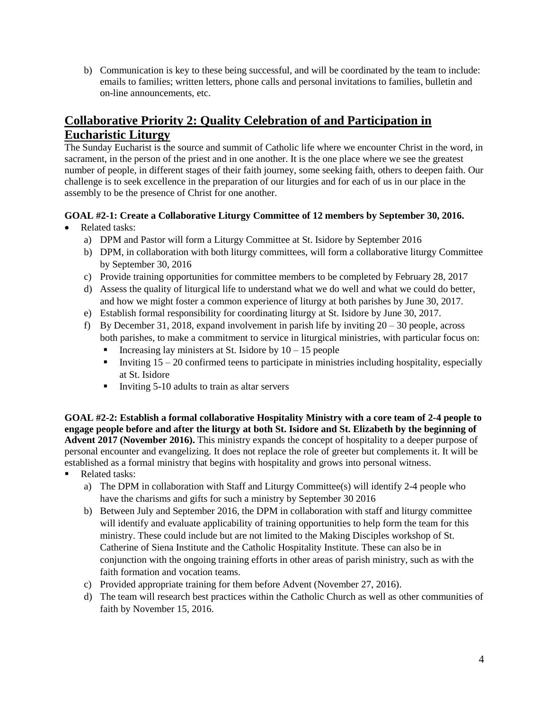b) Communication is key to these being successful, and will be coordinated by the team to include: emails to families; written letters, phone calls and personal invitations to families, bulletin and on-line announcements, etc.

## **Collaborative Priority 2: Quality Celebration of and Participation in Eucharistic Liturgy**

The Sunday Eucharist is the source and summit of Catholic life where we encounter Christ in the word, in sacrament, in the person of the priest and in one another. It is the one place where we see the greatest number of people, in different stages of their faith journey, some seeking faith, others to deepen faith. Our challenge is to seek excellence in the preparation of our liturgies and for each of us in our place in the assembly to be the presence of Christ for one another.

#### **GOAL #2-1: Create a Collaborative Liturgy Committee of 12 members by September 30, 2016.**

- Related tasks:
	- a) DPM and Pastor will form a Liturgy Committee at St. Isidore by September 2016
	- b) DPM, in collaboration with both liturgy committees, will form a collaborative liturgy Committee by September 30, 2016
	- c) Provide training opportunities for committee members to be completed by February 28, 2017
	- d) Assess the quality of liturgical life to understand what we do well and what we could do better, and how we might foster a common experience of liturgy at both parishes by June 30, 2017.
	- e) Establish formal responsibility for coordinating liturgy at St. Isidore by June 30, 2017.
	- f) By December 31, 2018, expand involvement in parish life by inviting 20 30 people, across both parishes, to make a commitment to service in liturgical ministries, with particular focus on:
		- Increasing lay ministers at St. Isidore by  $10 15$  people
		- Inviting  $15 20$  confirmed teens to participate in ministries including hospitality, especially at St. Isidore
		- Inviting  $5-10$  adults to train as altar servers

**GOAL #2-2: Establish a formal collaborative Hospitality Ministry with a core team of 2-4 people to** engage people before and after the liturgy at both St. Isidore and St. Elizabeth by the beginning of **Advent 2017 (November 2016).** This ministry expands the concept of hospitality to a deeper purpose of personal encounter and evangelizing. It does not replace the role of greeter but complements it. It will be established as a formal ministry that begins with hospitality and grows into personal witness.

- Related tasks:
	- a) The DPM in collaboration with Staff and Liturgy Committee(s) will identify 2-4 people who have the charisms and gifts for such a ministry by September 30 2016
	- b) Between July and September 2016, the DPM in collaboration with staff and liturgy committee will identify and evaluate applicability of training opportunities to help form the team for this ministry. These could include but are not limited to the Making Disciples workshop of St. Catherine of Siena Institute and the Catholic Hospitality Institute. These can also be in conjunction with the ongoing training efforts in other areas of parish ministry, such as with the faith formation and vocation teams.
	- c) Provided appropriate training for them before Advent (November 27, 2016).
	- d) The team will research best practices within the Catholic Church as well as other communities of faith by November 15, 2016.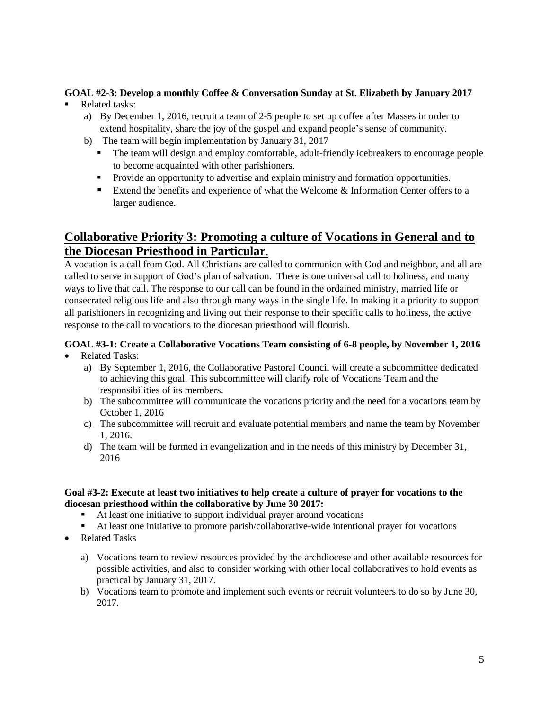## **GOAL #2-3: Develop a monthly Coffee & Conversation Sunday at St. Elizabeth by January 2017**

- Related tasks:
	- a) By December 1, 2016, recruit a team of 2-5 people to set up coffee after Masses in order to extend hospitality, share the joy of the gospel and expand people's sense of community.
	- b) The team will begin implementation by January 31, 2017
		- The team will design and employ comfortable, adult-friendly icebreakers to encourage people to become acquainted with other parishioners.
		- **Provide an opportunity to advertise and explain ministry and formation opportunities.**
		- Extend the benefits and experience of what the Welcome  $\&$  Information Center offers to a larger audience.

## **Collaborative Priority 3: Promoting a culture of Vocations in General and to the Diocesan Priesthood in Particular**.

A vocation is a call from God. All Christians are called to communion with God and neighbor, and all are called to serve in support of God's plan of salvation. There is one universal call to holiness, and many ways to live that call. The response to our call can be found in the ordained ministry, married life or consecrated religious life and also through many ways in the single life. In making it a priority to support all parishioners in recognizing and living out their response to their specific calls to holiness, the active response to the call to vocations to the diocesan priesthood will flourish.

## **GOAL #3-1: Create a Collaborative Vocations Team consisting of 6-8 people, by November 1, 2016**

- Related Tasks:
	- a) By September 1, 2016, the Collaborative Pastoral Council will create a subcommittee dedicated to achieving this goal. This subcommittee will clarify role of Vocations Team and the responsibilities of its members.
	- b) The subcommittee will communicate the vocations priority and the need for a vocations team by October 1, 2016
	- c) The subcommittee will recruit and evaluate potential members and name the team by November 1, 2016.
	- d) The team will be formed in evangelization and in the needs of this ministry by December 31, 2016

#### Goal #3-2: Execute at least two initiatives to help create a culture of prayer for vocations to the **diocesan priesthood within the collaborative by June 30 2017:**

- At least one initiative to support individual prayer around vocations
- At least one initiative to promote parish/collaborative-wide intentional prayer for vocations
- Related Tasks
	- a) Vocations team to review resources provided by the archdiocese and other available resources for possible activities, and also to consider working with other local collaboratives to hold events as practical by January 31, 2017.
	- b) Vocations team to promote and implement such events or recruit volunteers to do so by June 30, 2017.